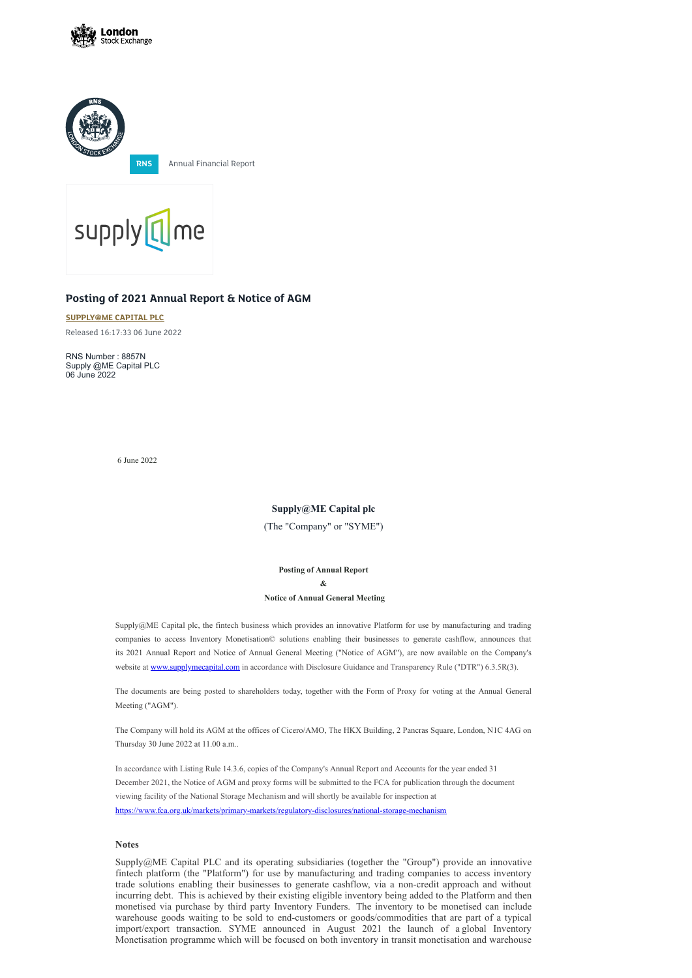



**RNS** Annual Financial Report



## **Posting of 2021 Annual Report & Notice of AGM**

**[SUPPLY@ME](https://www.londonstockexchange.com/stock/SYME/supply-me-capital-plc) CAPITAL PLC**

Released 16:17:33 06 June 2022

Supply@ME Capital plc, the fintech business which provides an innovative Platform for use by manufacturing and trading companies to access Inventory Monetisation© solutions enabling their businesses to generate cashflow, announces that its 2021 Annual Report and Notice of Annual General Meeting ("Notice of AGM"), are now available on the Company's website at [www.supplymecapital.com](http://www.supplymecapital.com/) in accordance with Disclosure Guidance and Transparency Rule ("DTR") 6.3.5R(3).

RNS Number : 8857N Supply @ME Capital PLC 06 June 2022

6 June 2022

**Supply@ME Capital plc**

(The "Company" or "SYME")

**Posting of Annual Report & Notice of Annual General Meeting**

The documents are being posted to shareholders today, together with the Form of Proxy for voting at the Annual General Meeting ("AGM").

The Company will hold its AGM at the offices of Cicero/AMO, The HKX Building, 2 Pancras Square, London, N1C 4AG on

Thursday 30 June 2022 at 11.00 a.m..

In accordance with Listing Rule 14.3.6, copies of the Company's Annual Report and Accounts for the year ended 31 December 2021, the Notice of AGM and proxy forms will be submitted to the FCA for publication through the document viewing facility of the National Storage Mechanism and will shortly be available for inspection at

<https://www.fca.org.uk/markets/primary-markets/regulatory-disclosures/national-storage-mechanism>

## **Notes**

Supply@ME Capital PLC and its operating subsidiaries (together the "Group") provide an innovative fintech platform (the "Platform") for use by manufacturing and trading companies to access inventory trade solutions enabling their businesses to generate cashflow, via a non-credit approach and without incurring debt. This is achieved by their existing eligible inventory being added to the Platform and then monetised via purchase by third party Inventory Funders. The inventory to be monetised can include warehouse goods waiting to be sold to end-customers or goods/commodities that are part of a typical import/export transaction. SYME announced in August 2021 the launch of a global Inventory Monetisation programme which will be focused on both inventory in transit monetisation and warehouse